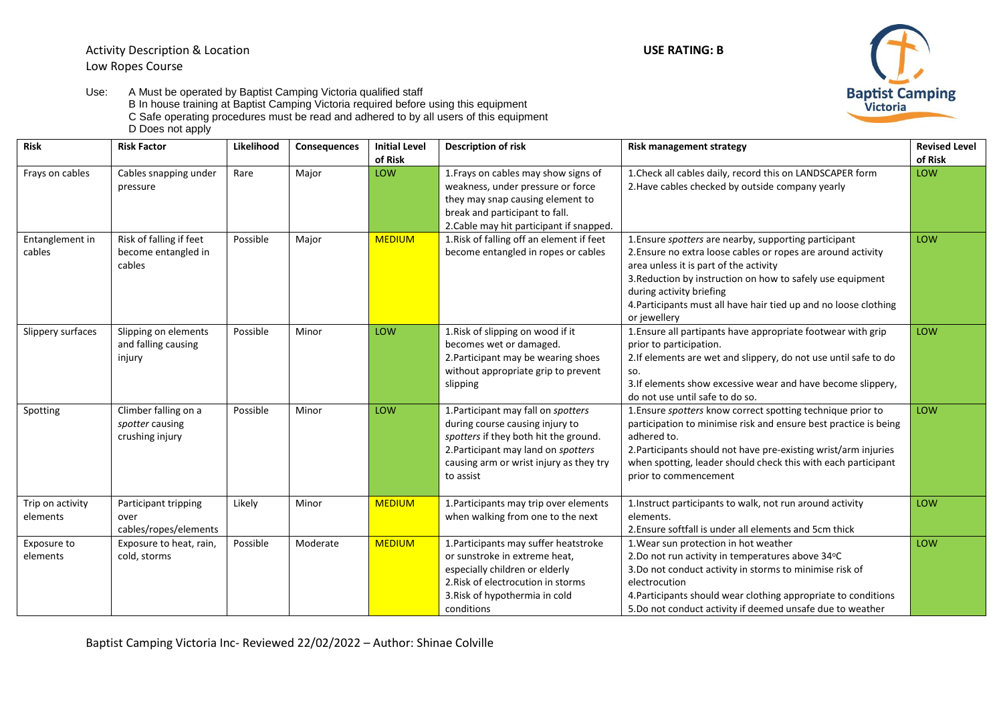

Use: A Must be operated by Baptist Camping Victoria qualified staff B In house training at Baptist Camping Victoria required before using this equipment C Safe operating procedures must be read and adhered to by all users of this equipment D Does not apply

| Risk                         | <b>Risk Factor</b>                                         | Likelihood | <b>Consequences</b> | <b>Initial Level</b><br>of Risk | Description of risk                                                                                                                                                                                            | Risk management strategy                                                                                                                                                                                                                                                                                                                             | <b>Revised Level</b><br>of Risk |
|------------------------------|------------------------------------------------------------|------------|---------------------|---------------------------------|----------------------------------------------------------------------------------------------------------------------------------------------------------------------------------------------------------------|------------------------------------------------------------------------------------------------------------------------------------------------------------------------------------------------------------------------------------------------------------------------------------------------------------------------------------------------------|---------------------------------|
| Frays on cables              | Cables snapping under<br>pressure                          | Rare       | Major               | LOW                             | 1. Frays on cables may show signs of<br>weakness, under pressure or force<br>they may snap causing element to<br>break and participant to fall.<br>2. Cable may hit participant if snapped.                    | 1. Check all cables daily, record this on LANDSCAPER form<br>2. Have cables checked by outside company yearly                                                                                                                                                                                                                                        | LOW                             |
| Entanglement in<br>cables    | Risk of falling if feet<br>become entangled in<br>cables   | Possible   | Major               | <b>MEDIUM</b>                   | 1. Risk of falling off an element if feet<br>become entangled in ropes or cables                                                                                                                               | 1. Ensure <i>spotters</i> are nearby, supporting participant<br>2. Ensure no extra loose cables or ropes are around activity<br>area unless it is part of the activity<br>3. Reduction by instruction on how to safely use equipment<br>during activity briefing<br>4. Participants must all have hair tied up and no loose clothing<br>or jewellery | LOW                             |
| Slippery surfaces            | Slipping on elements<br>and falling causing<br>injury      | Possible   | Minor               | LOW                             | 1. Risk of slipping on wood if it<br>becomes wet or damaged.<br>2. Participant may be wearing shoes<br>without appropriate grip to prevent<br>slipping                                                         | 1. Ensure all partipants have appropriate footwear with grip<br>prior to participation.<br>2. If elements are wet and slippery, do not use until safe to do<br>SO.<br>3. If elements show excessive wear and have become slippery,<br>do not use until safe to do so.                                                                                | LOW                             |
| Spotting                     | Climber falling on a<br>spotter causing<br>crushing injury | Possible   | Minor               | LOW                             | 1. Participant may fall on spotters<br>during course causing injury to<br>spotters if they both hit the ground.<br>2. Participant may land on spotters<br>causing arm or wrist injury as they try<br>to assist | 1. Ensure spotters know correct spotting technique prior to<br>participation to minimise risk and ensure best practice is being<br>adhered to.<br>2. Participants should not have pre-existing wrist/arm injuries<br>when spotting, leader should check this with each participant<br>prior to commencement                                          | LOW                             |
| Trip on activity<br>elements | Participant tripping<br>over<br>cables/ropes/elements      | Likely     | Minor               | <b>MEDIUM</b>                   | 1. Participants may trip over elements<br>when walking from one to the next                                                                                                                                    | 1. Instruct participants to walk, not run around activity<br>elements.<br>2. Ensure softfall is under all elements and 5cm thick                                                                                                                                                                                                                     | LOW                             |
| Exposure to<br>elements      | Exposure to heat, rain,<br>cold, storms                    | Possible   | Moderate            | <b>MEDIUM</b>                   | 1. Participants may suffer heatstroke<br>or sunstroke in extreme heat,<br>especially children or elderly<br>2. Risk of electrocution in storms<br>3. Risk of hypothermia in cold<br>conditions                 | 1. Wear sun protection in hot weather<br>2.Do not run activity in temperatures above 34°C<br>3.Do not conduct activity in storms to minimise risk of<br>electrocution<br>4. Participants should wear clothing appropriate to conditions<br>5.Do not conduct activity if deemed unsafe due to weather                                                 | LOW                             |